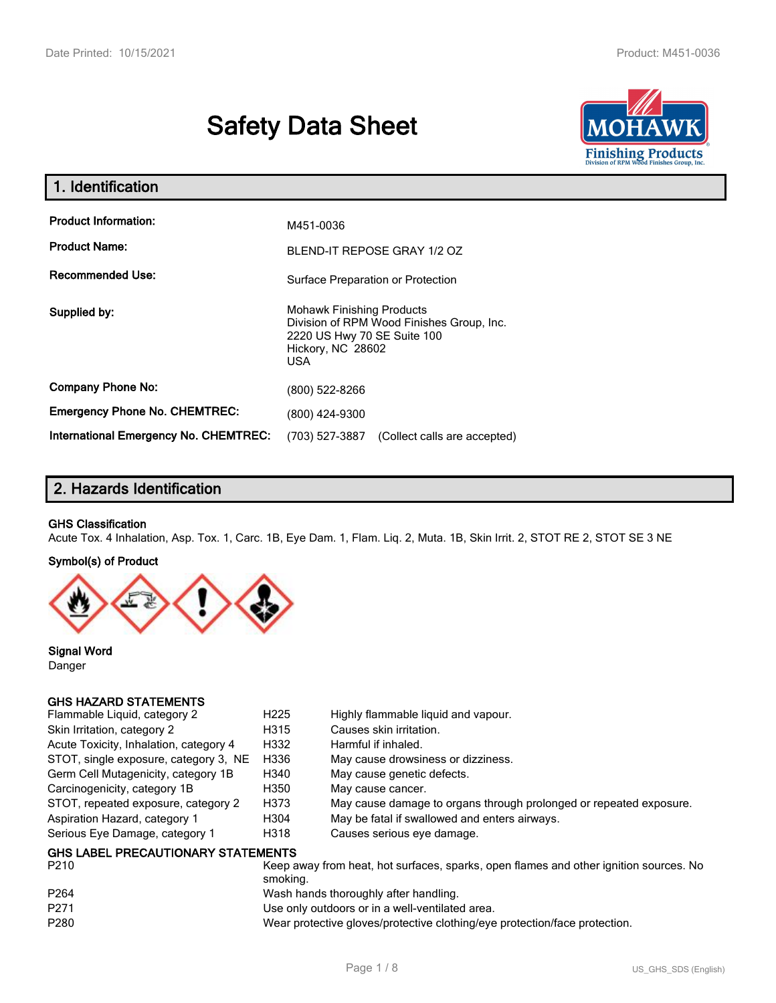# **Safety Data Sheet**



| 1. Identification                                                                               |                                                                                                                                          |  |  |  |  |
|-------------------------------------------------------------------------------------------------|------------------------------------------------------------------------------------------------------------------------------------------|--|--|--|--|
| <b>Product Information:</b><br>M451-0036<br><b>Product Name:</b><br>BLEND-IT REPOSE GRAY 1/2 OZ |                                                                                                                                          |  |  |  |  |
| <b>Recommended Use:</b>                                                                         | Surface Preparation or Protection                                                                                                        |  |  |  |  |
| Supplied by:                                                                                    | <b>Mohawk Finishing Products</b><br>Division of RPM Wood Finishes Group, Inc.<br>2220 US Hwy 70 SE Suite 100<br>Hickory, NC 28602<br>USA |  |  |  |  |
| <b>Company Phone No:</b>                                                                        | (800) 522-8266                                                                                                                           |  |  |  |  |
| <b>Emergency Phone No. CHEMTREC:</b>                                                            | (800) 424-9300                                                                                                                           |  |  |  |  |
| <b>International Emergency No. CHEMTREC:</b>                                                    | (703) 527-3887<br>(Collect calls are accepted)                                                                                           |  |  |  |  |

# **2. Hazards Identification**

#### **GHS Classification**

Acute Tox. 4 Inhalation, Asp. Tox. 1, Carc. 1B, Eye Dam. 1, Flam. Liq. 2, Muta. 1B, Skin Irrit. 2, STOT RE 2, STOT SE 3 NE

#### **Symbol(s) of Product**



**Signal Word** Danger

#### **GHS HAZARD STATEMENTS**

| Flammable Liquid, category 2                      | H <sub>225</sub> | Highly flammable liquid and vapour.                                |
|---------------------------------------------------|------------------|--------------------------------------------------------------------|
| Skin Irritation, category 2                       | H315             | Causes skin irritation.                                            |
| Acute Toxicity, Inhalation, category 4            | H332             | Harmful if inhaled.                                                |
| STOT, single exposure, category 3, NE             | H336             | May cause drowsiness or dizziness.                                 |
| Germ Cell Mutagenicity, category 1B               | H340             | May cause genetic defects.                                         |
| Carcinogenicity, category 1B                      | H350             | May cause cancer.                                                  |
| STOT, repeated exposure, category 2               | H373             | May cause damage to organs through prolonged or repeated exposure. |
| Aspiration Hazard, category 1                     | H304             | May be fatal if swallowed and enters airways.                      |
| Serious Eye Damage, category 1                    | H318             | Causes serious eye damage.                                         |
| <b>GHS LABEL PRECAUTIONARY STATEMENTS</b><br>---- |                  |                                                                    |

| P210             | Keep away from heat, hot surfaces, sparks, open flames and other ignition sources. No<br>smoking. |
|------------------|---------------------------------------------------------------------------------------------------|
|                  |                                                                                                   |
| P <sub>264</sub> | Wash hands thoroughly after handling.                                                             |
| P <sub>271</sub> | Use only outdoors or in a well-ventilated area.                                                   |
| P280             | Wear protective gloves/protective clothing/eye protection/face protection.                        |
|                  |                                                                                                   |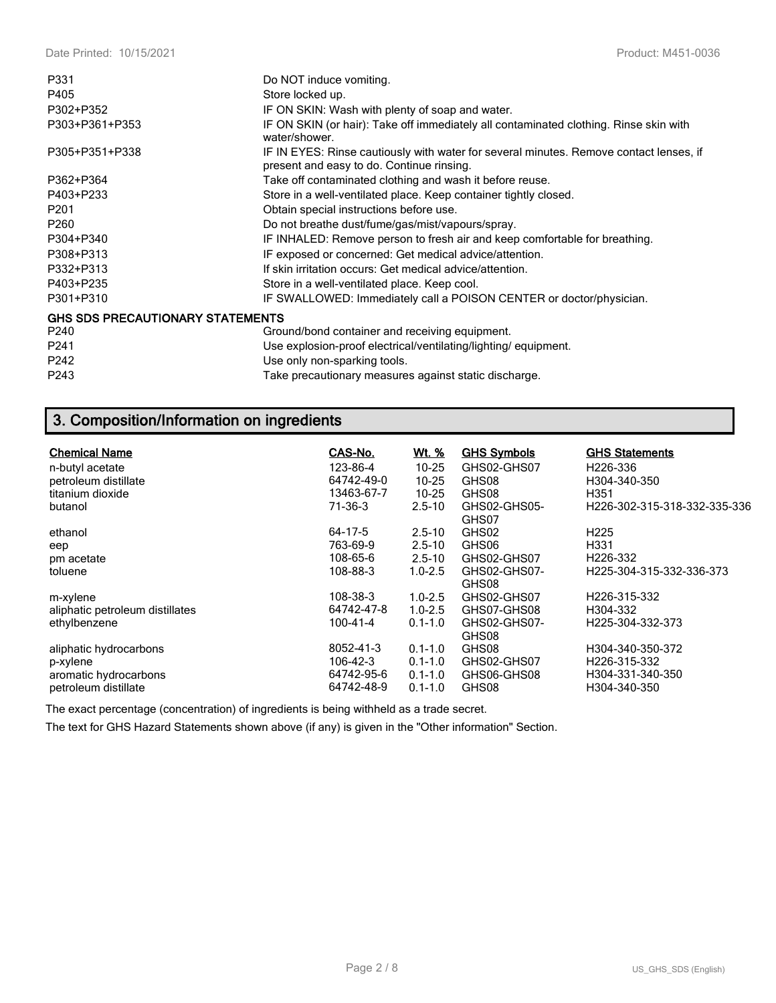| P331                                    | Do NOT induce vomiting.                                                                                                             |
|-----------------------------------------|-------------------------------------------------------------------------------------------------------------------------------------|
| P405                                    | Store locked up.                                                                                                                    |
| P302+P352                               | IF ON SKIN: Wash with plenty of soap and water.                                                                                     |
| P303+P361+P353                          | IF ON SKIN (or hair): Take off immediately all contaminated clothing. Rinse skin with<br>water/shower.                              |
| P305+P351+P338                          | IF IN EYES: Rinse cautiously with water for several minutes. Remove contact lenses, if<br>present and easy to do. Continue rinsing. |
| P362+P364                               | Take off contaminated clothing and wash it before reuse.                                                                            |
| P403+P233                               | Store in a well-ventilated place. Keep container tightly closed.                                                                    |
| P <sub>201</sub>                        | Obtain special instructions before use.                                                                                             |
| P <sub>260</sub>                        | Do not breathe dust/fume/gas/mist/vapours/spray.                                                                                    |
| P304+P340                               | IF INHALED: Remove person to fresh air and keep comfortable for breathing.                                                          |
| P308+P313                               | IF exposed or concerned: Get medical advice/attention.                                                                              |
| P332+P313                               | If skin irritation occurs: Get medical advice/attention.                                                                            |
| P403+P235                               | Store in a well-ventilated place. Keep cool.                                                                                        |
| P301+P310                               | IF SWALLOWED: Immediately call a POISON CENTER or doctor/physician.                                                                 |
| <b>GHS SDS PRECAUTIONARY STATEMENTS</b> |                                                                                                                                     |
| P240                                    | Ground/bond container and receiving equipment.                                                                                      |
| P <sub>241</sub>                        | Use explosion-proof electrical/ventilating/lighting/equipment.                                                                      |
| P242                                    | Use only non-sparking tools.                                                                                                        |
| P243                                    | Take precautionary measures against static discharge.                                                                               |

# **3. Composition/Information on ingredients**

| <b>Chemical Name</b><br>n-butyl acetate       | CAS-No.<br>123-86-4      | <u>Wt. %</u><br>$10 - 25$  | <b>GHS Symbols</b><br>GHS02-GHS07 | <b>GHS Statements</b><br>H <sub>226</sub> -336 |
|-----------------------------------------------|--------------------------|----------------------------|-----------------------------------|------------------------------------------------|
| petroleum distillate<br>titanium dioxide      | 64742-49-0<br>13463-67-7 | $10 - 25$<br>$10 - 25$     | GHS08<br>GHS08                    | H304-340-350<br>H351                           |
| butanol                                       | 71-36-3                  | $2.5 - 10$                 | GHS02-GHS05-<br>GHS07             | H226-302-315-318-332-335-336                   |
| ethanol                                       | 64-17-5                  | $2.5 - 10$                 | GHS02                             | H <sub>225</sub>                               |
| eep                                           | 763-69-9                 | $2.5 - 10$                 | GHS06                             | H331                                           |
| pm acetate                                    | 108-65-6                 | $2.5 - 10$                 | GHS02-GHS07                       | H226-332                                       |
| toluene                                       | 108-88-3                 | $1.0 - 2.5$                | GHS02-GHS07-<br>GHS08             | H225-304-315-332-336-373                       |
| m-xylene                                      | 108-38-3                 | $1.0 - 2.5$                | GHS02-GHS07                       | H <sub>226</sub> -315-332                      |
| aliphatic petroleum distillates               | 64742-47-8               | $1.0 - 2.5$                | GHS07-GHS08                       | H304-332                                       |
| ethylbenzene                                  | 100-41-4                 | $0.1 - 1.0$                | GHS02-GHS07-<br>GHS08             | H225-304-332-373                               |
| aliphatic hydrocarbons                        | 8052-41-3                | $0.1 - 1.0$                | GHS08                             | H304-340-350-372                               |
| p-xylene                                      | 106-42-3                 | $0.1 - 1.0$                | GHS02-GHS07                       | H226-315-332                                   |
| aromatic hydrocarbons<br>petroleum distillate | 64742-95-6<br>64742-48-9 | $0.1 - 1.0$<br>$0.1 - 1.0$ | GHS06-GHS08<br>GHS08              | H304-331-340-350<br>H304-340-350               |
|                                               |                          |                            |                                   |                                                |

The exact percentage (concentration) of ingredients is being withheld as a trade secret.

The text for GHS Hazard Statements shown above (if any) is given in the "Other information" Section.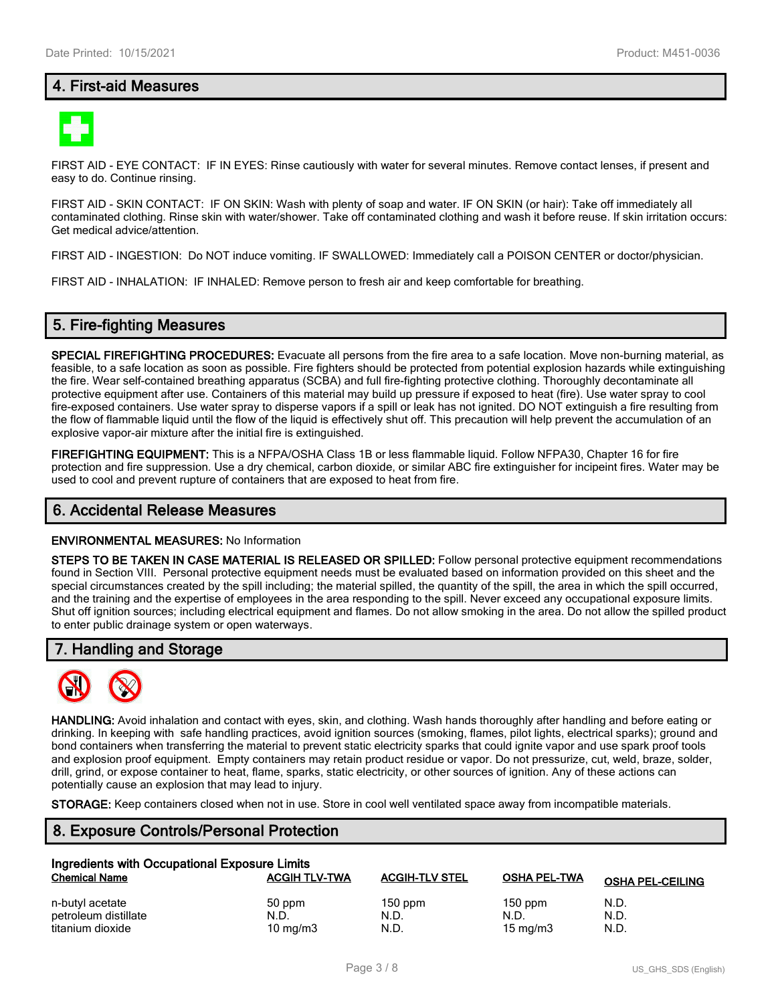## **4. First-aid Measures**



FIRST AID - EYE CONTACT: IF IN EYES: Rinse cautiously with water for several minutes. Remove contact lenses, if present and easy to do. Continue rinsing.

FIRST AID - SKIN CONTACT: IF ON SKIN: Wash with plenty of soap and water. IF ON SKIN (or hair): Take off immediately all contaminated clothing. Rinse skin with water/shower. Take off contaminated clothing and wash it before reuse. If skin irritation occurs: Get medical advice/attention.

FIRST AID - INGESTION: Do NOT induce vomiting. IF SWALLOWED: Immediately call a POISON CENTER or doctor/physician.

FIRST AID - INHALATION: IF INHALED: Remove person to fresh air and keep comfortable for breathing.

#### **5. Fire-fighting Measures**

**SPECIAL FIREFIGHTING PROCEDURES:** Evacuate all persons from the fire area to a safe location. Move non-burning material, as feasible, to a safe location as soon as possible. Fire fighters should be protected from potential explosion hazards while extinguishing the fire. Wear self-contained breathing apparatus (SCBA) and full fire-fighting protective clothing. Thoroughly decontaminate all protective equipment after use. Containers of this material may build up pressure if exposed to heat (fire). Use water spray to cool fire-exposed containers. Use water spray to disperse vapors if a spill or leak has not ignited. DO NOT extinguish a fire resulting from the flow of flammable liquid until the flow of the liquid is effectively shut off. This precaution will help prevent the accumulation of an explosive vapor-air mixture after the initial fire is extinguished.

**FIREFIGHTING EQUIPMENT:** This is a NFPA/OSHA Class 1B or less flammable liquid. Follow NFPA30, Chapter 16 for fire protection and fire suppression. Use a dry chemical, carbon dioxide, or similar ABC fire extinguisher for incipeint fires. Water may be used to cool and prevent rupture of containers that are exposed to heat from fire.

#### **6. Accidental Release Measures**

#### **ENVIRONMENTAL MEASURES:** No Information

**STEPS TO BE TAKEN IN CASE MATERIAL IS RELEASED OR SPILLED:** Follow personal protective equipment recommendations found in Section VIII. Personal protective equipment needs must be evaluated based on information provided on this sheet and the special circumstances created by the spill including; the material spilled, the quantity of the spill, the area in which the spill occurred, and the training and the expertise of employees in the area responding to the spill. Never exceed any occupational exposure limits. Shut off ignition sources; including electrical equipment and flames. Do not allow smoking in the area. Do not allow the spilled product to enter public drainage system or open waterways.

#### **7. Handling and Storage**



**HANDLING:** Avoid inhalation and contact with eyes, skin, and clothing. Wash hands thoroughly after handling and before eating or drinking. In keeping with safe handling practices, avoid ignition sources (smoking, flames, pilot lights, electrical sparks); ground and bond containers when transferring the material to prevent static electricity sparks that could ignite vapor and use spark proof tools and explosion proof equipment. Empty containers may retain product residue or vapor. Do not pressurize, cut, weld, braze, solder, drill, grind, or expose container to heat, flame, sparks, static electricity, or other sources of ignition. Any of these actions can potentially cause an explosion that may lead to injury.

**STORAGE:** Keep containers closed when not in use. Store in cool well ventilated space away from incompatible materials.

#### **8. Exposure Controls/Personal Protection**

| Ingredients with Occupational Exposure Limits |                      |                       |                     |                         |  |  |
|-----------------------------------------------|----------------------|-----------------------|---------------------|-------------------------|--|--|
| <b>Chemical Name</b>                          | <b>ACGIH TLV-TWA</b> | <b>ACGIH-TLV STEL</b> | <b>OSHA PEL-TWA</b> | <b>OSHA PEL-CEILING</b> |  |  |
| n-butyl acetate                               | 50 ppm               | $150$ ppm             | $150$ ppm           | N.D.                    |  |  |
| petroleum distillate                          | N.D.                 | N.D.                  | N.D.                | N.D.                    |  |  |
| titanium dioxide                              | $10 \text{ mg/m}$    | N.D.                  | $15 \text{ mg/m}$   | N.D.                    |  |  |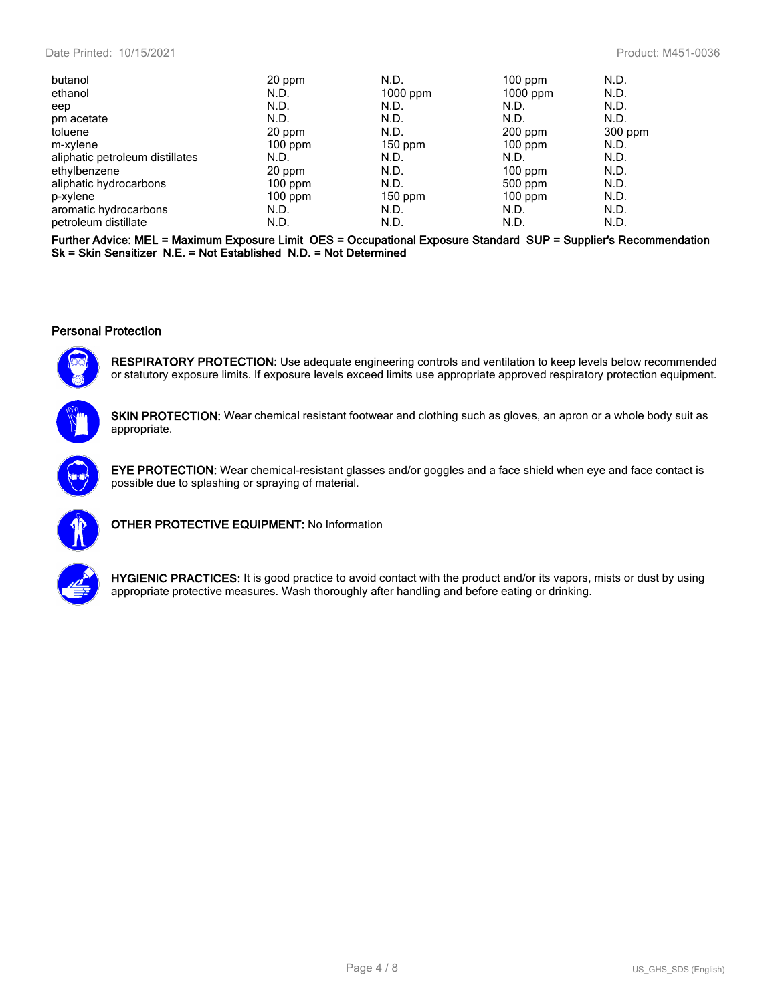| butanol                         | 20 ppm    | N.D.       | $100$ ppm  | N.D.    |
|---------------------------------|-----------|------------|------------|---------|
| ethanol                         | N.D.      | $1000$ ppm | $1000$ ppm | N.D.    |
| eep                             | N.D.      | N.D.       | N.D.       | N.D.    |
| pm acetate                      | N.D.      | N.D.       | N.D.       | N.D.    |
| toluene                         | 20 ppm    | N.D.       | $200$ ppm  | 300 ppm |
| m-xylene                        | $100$ ppm | $150$ ppm  | $100$ ppm  | N.D.    |
| aliphatic petroleum distillates | N.D.      | N.D.       | N.D.       | N.D.    |
| ethylbenzene                    | 20 ppm    | N.D.       | $100$ ppm  | N.D.    |
| aliphatic hydrocarbons          | $100$ ppm | N.D.       | 500 ppm    | N.D.    |
| p-xylene                        | $100$ ppm | $150$ ppm  | $100$ ppm  | N.D.    |
| aromatic hydrocarbons           | N.D.      | N.D.       | N.D.       | N.D.    |
| petroleum distillate            | N.D.      | N.D.       | N.D.       | N.D.    |

**Further Advice: MEL = Maximum Exposure Limit OES = Occupational Exposure Standard SUP = Supplier's Recommendation Sk = Skin Sensitizer N.E. = Not Established N.D. = Not Determined**

#### **Personal Protection**



**RESPIRATORY PROTECTION:** Use adequate engineering controls and ventilation to keep levels below recommended or statutory exposure limits. If exposure levels exceed limits use appropriate approved respiratory protection equipment.



**SKIN PROTECTION:** Wear chemical resistant footwear and clothing such as gloves, an apron or a whole body suit as appropriate.



**EYE PROTECTION:** Wear chemical-resistant glasses and/or goggles and a face shield when eye and face contact is possible due to splashing or spraying of material.



**OTHER PROTECTIVE EQUIPMENT:** No Information



**HYGIENIC PRACTICES:** It is good practice to avoid contact with the product and/or its vapors, mists or dust by using appropriate protective measures. Wash thoroughly after handling and before eating or drinking.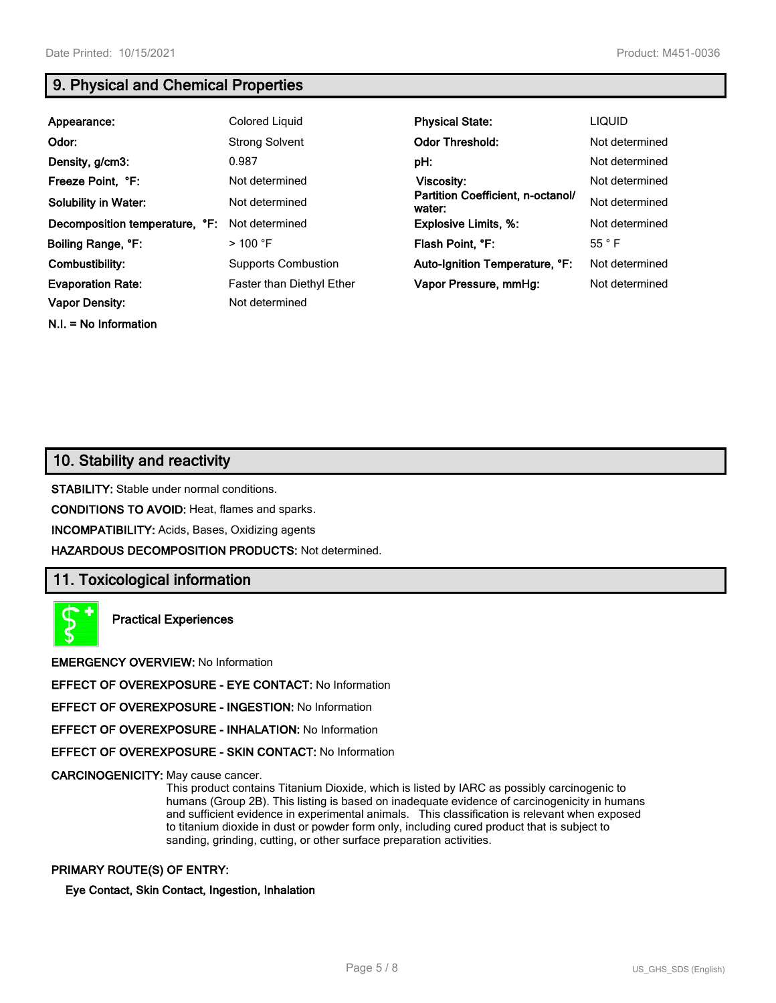# **9. Physical and Chemical Properties**

| Appearance:                    | Colored Liquid                   | <b>Physical State:</b>                      | <b>LIQUID</b>  |
|--------------------------------|----------------------------------|---------------------------------------------|----------------|
| Odor:                          | <b>Strong Solvent</b>            | <b>Odor Threshold:</b>                      | Not determined |
| Density, g/cm3:                | 0.987                            | pH:                                         | Not determined |
| Freeze Point, °F:              | Not determined                   | Viscosity:                                  | Not determined |
| <b>Solubility in Water:</b>    | Not determined                   | Partition Coefficient, n-octanol/<br>water: | Not determined |
| Decomposition temperature, °F: | Not determined                   | <b>Explosive Limits, %:</b>                 | Not determined |
| Boiling Range, °F:             | $>$ 100 °F                       | Flash Point, °F:                            | $55^{\circ}$ F |
| Combustibility:                | <b>Supports Combustion</b>       | Auto-Ignition Temperature, °F:              | Not determined |
| <b>Evaporation Rate:</b>       | <b>Faster than Diethyl Ether</b> | Vapor Pressure, mmHg:                       | Not determined |
| <b>Vapor Density:</b>          | Not determined                   |                                             |                |

**N.I. = No Information**

**10. Stability and reactivity**

**STABILITY:** Stable under normal conditions.

**CONDITIONS TO AVOID:** Heat, flames and sparks.

**INCOMPATIBILITY:** Acids, Bases, Oxidizing agents

**HAZARDOUS DECOMPOSITION PRODUCTS:** Not determined.

# **11. Toxicological information**

**Practical Experiences**

**EMERGENCY OVERVIEW:** No Information

**EFFECT OF OVEREXPOSURE - EYE CONTACT:** No Information

**EFFECT OF OVEREXPOSURE - INGESTION:** No Information

**EFFECT OF OVEREXPOSURE - INHALATION:** No Information

**EFFECT OF OVEREXPOSURE - SKIN CONTACT:** No Information

**CARCINOGENICITY:** May cause cancer.

This product contains Titanium Dioxide, which is listed by IARC as possibly carcinogenic to humans (Group 2B). This listing is based on inadequate evidence of carcinogenicity in humans and sufficient evidence in experimental animals. This classification is relevant when exposed to titanium dioxide in dust or powder form only, including cured product that is subject to sanding, grinding, cutting, or other surface preparation activities.

#### **PRIMARY ROUTE(S) OF ENTRY:**

**Eye Contact, Skin Contact, Ingestion, Inhalation**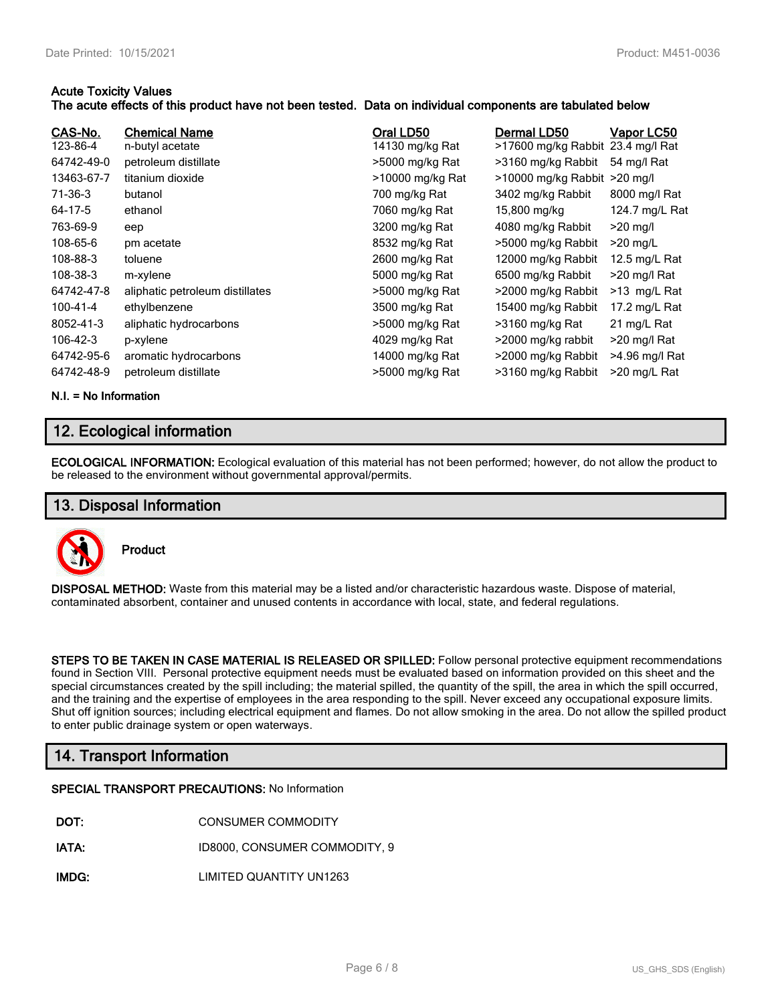#### **Acute Toxicity Values**

#### **The acute effects of this product have not been tested. Data on individual components are tabulated below**

| CAS-No.<br>123-86-4<br>64742-49-0<br>13463-67-7<br>71-36-3<br>64-17-5<br>763-69-9<br>108-65-6<br>108-88-3<br>108-38-3<br>64742-47-8<br>100-41-4<br>8052-41-3<br>106-42-3 | <b>Chemical Name</b><br>n-butyl acetate<br>petroleum distillate<br>titanium dioxide<br>butanol<br>ethanol<br>eep<br>pm acetate<br>toluene<br>m-xylene<br>aliphatic petroleum distillates<br>ethylbenzene<br>aliphatic hydrocarbons<br>p-xylene | Oral LD50<br>14130 mg/kg Rat<br>>5000 mg/kg Rat<br>>10000 mg/kg Rat<br>700 mg/kg Rat<br>7060 mg/kg Rat<br>3200 mg/kg Rat<br>8532 mg/kg Rat<br>2600 mg/kg Rat<br>5000 mg/kg Rat<br>>5000 mg/kg Rat<br>3500 mg/kg Rat<br>>5000 mg/kg Rat<br>4029 mg/kg Rat | Dermal LD50<br>>17600 mg/kg Rabbit 23.4 mg/l Rat<br>>3160 mg/kg Rabbit<br>>10000 mg/kg Rabbit >20 mg/l<br>3402 mg/kg Rabbit<br>15,800 mg/kg<br>4080 mg/kg Rabbit<br>>5000 mg/kg Rabbit<br>12000 mg/kg Rabbit<br>6500 mg/kg Rabbit<br>>2000 mg/kg Rabbit<br>15400 mg/kg Rabbit<br>>3160 mg/kg Rat<br>>2000 mg/kg rabbit | Vapor LC50<br>54 mg/l Rat<br>8000 mg/l Rat<br>124.7 mg/L Rat<br>$>20$ mg/l<br>$>20$ mg/L<br>12.5 mg/L Rat<br>>20 mg/l Rat<br>>13 mg/L Rat<br>17.2 mg/L Rat<br>21 mg/L Rat<br>$>20$ mg/l Rat |
|--------------------------------------------------------------------------------------------------------------------------------------------------------------------------|------------------------------------------------------------------------------------------------------------------------------------------------------------------------------------------------------------------------------------------------|----------------------------------------------------------------------------------------------------------------------------------------------------------------------------------------------------------------------------------------------------------|------------------------------------------------------------------------------------------------------------------------------------------------------------------------------------------------------------------------------------------------------------------------------------------------------------------------|---------------------------------------------------------------------------------------------------------------------------------------------------------------------------------------------|
| 64742-95-6                                                                                                                                                               | aromatic hydrocarbons                                                                                                                                                                                                                          | 14000 mg/kg Rat                                                                                                                                                                                                                                          | >2000 mg/kg Rabbit                                                                                                                                                                                                                                                                                                     | >4.96 mg/l Rat                                                                                                                                                                              |
| 64742-48-9                                                                                                                                                               | petroleum distillate                                                                                                                                                                                                                           | >5000 mg/kg Rat                                                                                                                                                                                                                                          | >3160 mg/kg Rabbit                                                                                                                                                                                                                                                                                                     | >20 mg/L Rat                                                                                                                                                                                |

**N.I. = No Information**

# **12. Ecological information**

**ECOLOGICAL INFORMATION:** Ecological evaluation of this material has not been performed; however, do not allow the product to be released to the environment without governmental approval/permits.

### **13. Disposal Information**



**Product**

**DISPOSAL METHOD:** Waste from this material may be a listed and/or characteristic hazardous waste. Dispose of material, contaminated absorbent, container and unused contents in accordance with local, state, and federal regulations.

**STEPS TO BE TAKEN IN CASE MATERIAL IS RELEASED OR SPILLED:** Follow personal protective equipment recommendations found in Section VIII. Personal protective equipment needs must be evaluated based on information provided on this sheet and the special circumstances created by the spill including; the material spilled, the quantity of the spill, the area in which the spill occurred, and the training and the expertise of employees in the area responding to the spill. Never exceed any occupational exposure limits. Shut off ignition sources; including electrical equipment and flames. Do not allow smoking in the area. Do not allow the spilled product to enter public drainage system or open waterways.

# **14. Transport Information**

#### **SPECIAL TRANSPORT PRECAUTIONS:** No Information

- **DOT:** CONSUMER COMMODITY
- **IATA:** ID8000, CONSUMER COMMODITY, 9
- **IMDG:** LIMITED QUANTITY UN1263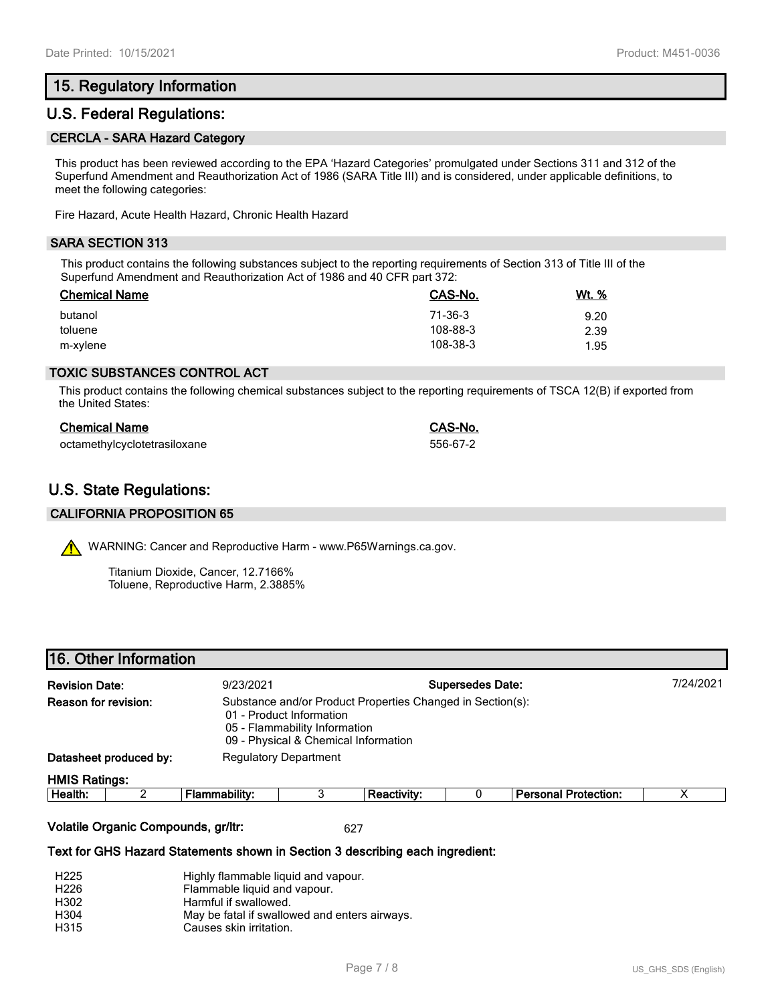# **15. Regulatory Information**

### **U.S. Federal Regulations:**

#### **CERCLA - SARA Hazard Category**

This product has been reviewed according to the EPA 'Hazard Categories' promulgated under Sections 311 and 312 of the Superfund Amendment and Reauthorization Act of 1986 (SARA Title III) and is considered, under applicable definitions, to meet the following categories:

Fire Hazard, Acute Health Hazard, Chronic Health Hazard

#### **SARA SECTION 313**

This product contains the following substances subject to the reporting requirements of Section 313 of Title III of the Superfund Amendment and Reauthorization Act of 1986 and 40 CFR part 372:

| <b>Chemical Name</b> | CAS-No.  | <u>Wt. %</u> |
|----------------------|----------|--------------|
| butanol              | 71-36-3  | 9.20         |
| toluene              | 108-88-3 | 2.39         |
| m-xylene             | 108-38-3 | 1.95         |

#### **TOXIC SUBSTANCES CONTROL ACT**

This product contains the following chemical substances subject to the reporting requirements of TSCA 12(B) if exported from the United States:

| <b>Chemical Name</b>         | CAS-No.  |
|------------------------------|----------|
| octamethylcyclotetrasiloxane | 556-67-2 |

# **U.S. State Regulations:**

#### **CALIFORNIA PROPOSITION 65**

WARNING: Cancer and Reproductive Harm - www.P65Warnings.ca.gov.

Titanium Dioxide, Cancer, 12.7166% Toluene, Reproductive Harm, 2.3885%

|                                                                                                                                                                                         | 16. Other Information |               |  |                    |                         |                             |   |
|-----------------------------------------------------------------------------------------------------------------------------------------------------------------------------------------|-----------------------|---------------|--|--------------------|-------------------------|-----------------------------|---|
| <b>Revision Date:</b><br>9/23/2021                                                                                                                                                      |                       |               |  |                    | <b>Supersedes Date:</b> | 7/24/2021                   |   |
| Reason for revision:<br>Substance and/or Product Properties Changed in Section(s):<br>01 - Product Information<br>05 - Flammability Information<br>09 - Physical & Chemical Information |                       |               |  |                    |                         |                             |   |
| Datasheet produced by:<br><b>Regulatory Department</b>                                                                                                                                  |                       |               |  |                    |                         |                             |   |
| <b>HMIS Ratings:</b>                                                                                                                                                                    |                       |               |  |                    |                         |                             |   |
| Health:                                                                                                                                                                                 | ◠                     | Flammability: |  | <b>Reactivity:</b> |                         | <b>Personal Protection:</b> | х |
|                                                                                                                                                                                         |                       |               |  |                    |                         |                             |   |

#### **Volatile Organic Compounds, gr/ltr:** 627

#### **Text for GHS Hazard Statements shown in Section 3 describing each ingredient:**

| H <sub>225</sub> | Highly flammable liquid and vapour.           |
|------------------|-----------------------------------------------|
| H <sub>226</sub> | Flammable liquid and vapour.                  |
| H302             | Harmful if swallowed.                         |
| H304             | May be fatal if swallowed and enters airways. |
| H315             | Causes skin irritation.                       |